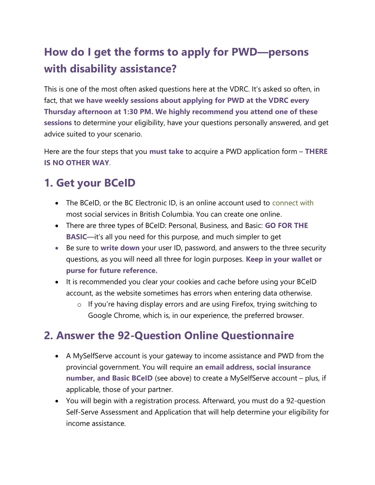# How do I get the forms to apply for PWD—persons with disability assistance?

This is one of the most often asked questions here at the VDRC. It's asked so often, in fact, that we have weekly sessions about applying for PWD at the VDRC every Thursday afternoon at 1:30 PM. We highly recommend you attend one of these sessions to determine your eligibility, have your questions personally answered, and get advice suited to your scenario.

Here are the four steps that you must take to acquire a PWD application form – THERE IS NO OTHER WAY.

## 1. Get your BCeID

- The BCeID, or the BC Electronic ID, is an online account used to connect with most social services in British Columbia. You can create one online.
- There are three types of BCeID: Personal, Business, and Basic: **GO FOR THE** BASIC—it's all you need for this purpose, and much simpler to get
- Be sure to write down your user ID, password, and answers to the three security questions, as you will need all three for login purposes. Keep in your wallet or purse for future reference.
- It is recommended you clear your cookies and cache before using your BCeID account, as the website sometimes has errors when entering data otherwise.
	- o If you're having display errors and are using Firefox, trying switching to Google Chrome, which is, in our experience, the preferred browser.

#### 2. Answer the 92-Question Online Questionnaire

- A MySelfServe account is your gateway to income assistance and PWD from the provincial government. You will require an email address, social insurance number, and Basic BCeID (see above) to create a MySelfServe account – plus, if applicable, those of your partner.
- You will begin with a registration process. Afterward, you must do a 92-question Self-Serve Assessment and Application that will help determine your eligibility for income assistance.